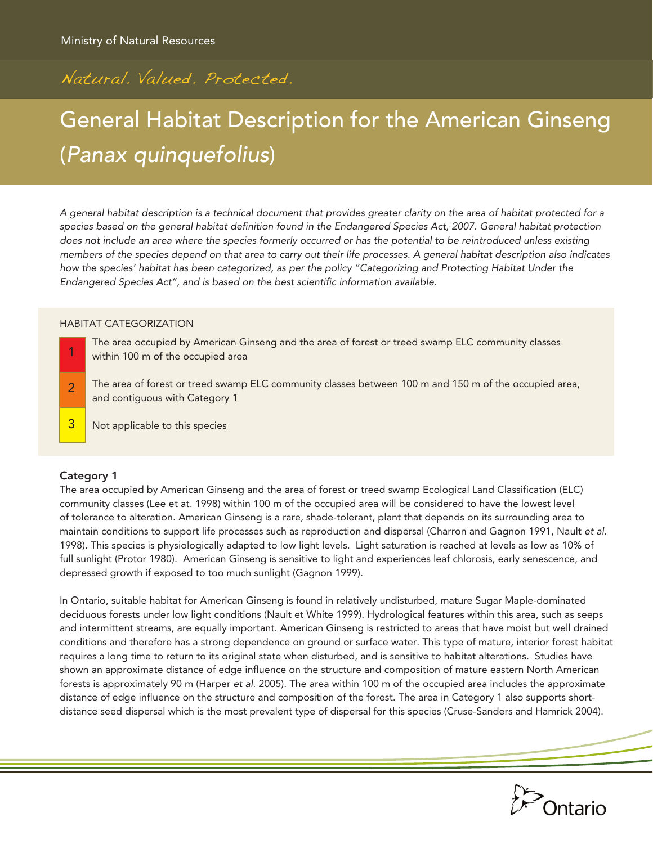# Natural. Valued. Protected.

# General Habitat Description for the American Ginseng (*Panax quinquefolius*)

*A general habitat description is a technical document that provides greater clarity on the area of habitat protected for a species based on the general habitat definition found in the Endangered Species Act, 2007. General habitat protection does not include an area where the species formerly occurred or has the potential to be reintroduced unless existing members of the species depend on that area to carry out their life processes. A general habitat description also indicates how the species' habitat has been categorized, as per the policy "Categorizing and Protecting Habitat Under the Endangered Species Act", and is based on the best scientific information available.*

#### HABITAT CATEGORIZATION

- The area occupied by American Ginseng and the area of forest or treed swamp ELC community classes within 100 m of the occupied area 1
- The area of forest or treed swamp ELC community classes between 100 m and 150 m of the occupied area, and contiguous with Category 1 2
- Not applicable to this species 3

# Category 1

The area occupied by American Ginseng and the area of forest or treed swamp Ecological Land Classification (ELC) community classes (Lee et at. 1998) within 100 m of the occupied area will be considered to have the lowest level of tolerance to alteration. American Ginseng is a rare, shade-tolerant, plant that depends on its surrounding area to maintain conditions to support life processes such as reproduction and dispersal (Charron and Gagnon 1991, Nault *et al*. 1998). This species is physiologically adapted to low light levels. Light saturation is reached at levels as low as 10% of full sunlight (Protor 1980). American Ginseng is sensitive to light and experiences leaf chlorosis, early senescence, and depressed growth if exposed to too much sunlight (Gagnon 1999).

In Ontario, suitable habitat for American Ginseng is found in relatively undisturbed, mature Sugar Maple-dominated deciduous forests under low light conditions (Nault et White 1999). Hydrological features within this area, such as seeps and intermittent streams, are equally important. American Ginseng is restricted to areas that have moist but well drained conditions and therefore has a strong dependence on ground or surface water. This type of mature, interior forest habitat requires a long time to return to its original state when disturbed, and is sensitive to habitat alterations. Studies have shown an approximate distance of edge influence on the structure and composition of mature eastern North American forests is approximately 90 m (Harper *et al.* 2005). The area within 100 m of the occupied area includes the approximate distance of edge influence on the structure and composition of the forest. The area in Category 1 also supports shortdistance seed dispersal which is the most prevalent type of dispersal for this species (Cruse-Sanders and Hamrick 2004).

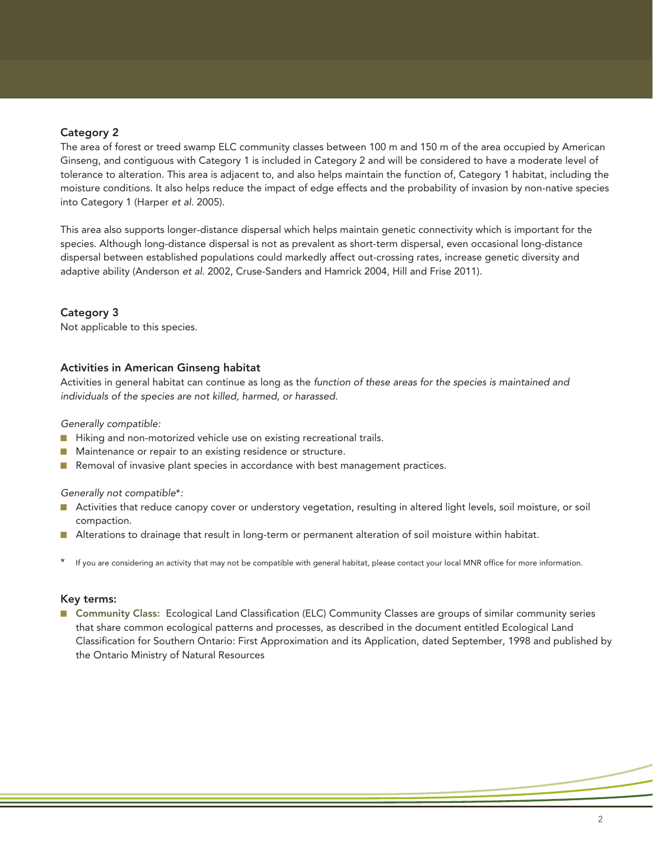# Category 2

The area of forest or treed swamp ELC community classes between 100 m and 150 m of the area occupied by American Ginseng, and contiguous with Category 1 is included in Category 2 and will be considered to have a moderate level of tolerance to alteration. This area is adjacent to, and also helps maintain the function of, Category 1 habitat, including the moisture conditions. It also helps reduce the impact of edge effects and the probability of invasion by non-native species into Category 1 (Harper *et al*. 2005).

This area also supports longer-distance dispersal which helps maintain genetic connectivity which is important for the species. Although long-distance dispersal is not as prevalent as short-term dispersal, even occasional long-distance dispersal between established populations could markedly affect out-crossing rates, increase genetic diversity and adaptive ability (Anderson *et al*. 2002, Cruse-Sanders and Hamrick 2004, Hill and Frise 2011).

# Category 3

Not applicable to this species.

### Activities in American Ginseng habitat

Activities in general habitat can continue as long as the *function of these areas for the species is maintained and individuals of the species are not killed, harmed, or harassed*.

*Generally compatible:*

- Hiking and non-motorized vehicle use on existing recreational trails.
- Maintenance or repair to an existing residence or structure.
- **n** Removal of invasive plant species in accordance with best management practices.

#### *Generally not compatible*\**:*

- Activities that reduce canopy cover or understory vegetation, resulting in altered light levels, soil moisture, or soil compaction.
- Alterations to drainage that result in long-term or permanent alteration of soil moisture within habitat.
- If you are considering an activity that may not be compatible with general habitat, please contact your local MNR office for more information.

#### Key terms:

■ Community Class: Ecological Land Classification (ELC) Community Classes are groups of similar community series that share common ecological patterns and processes, as described in the document entitled Ecological Land Classification for Southern Ontario: First Approximation and its Application, dated September, 1998 and published by the Ontario Ministry of Natural Resources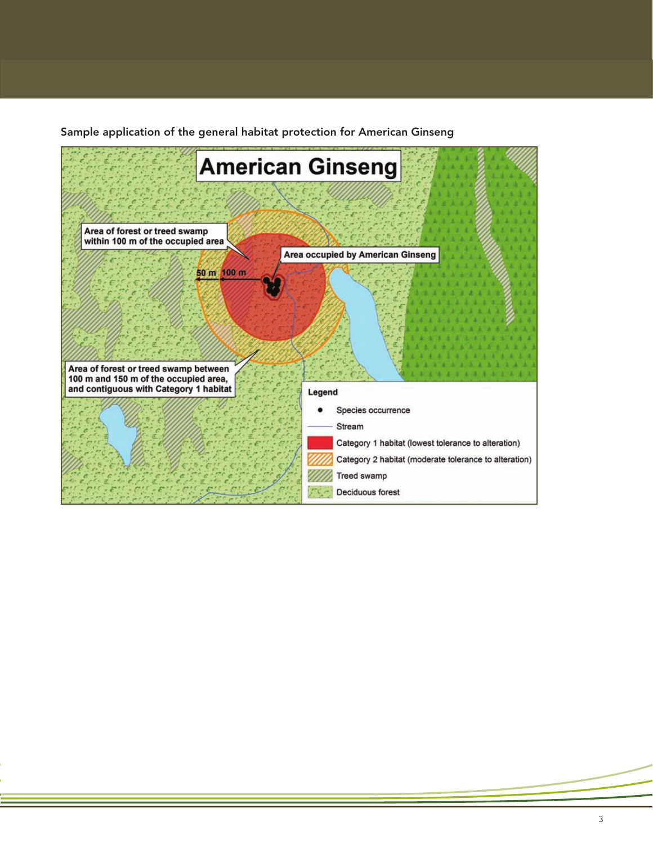Sample application of the general habitat protection for American Ginseng